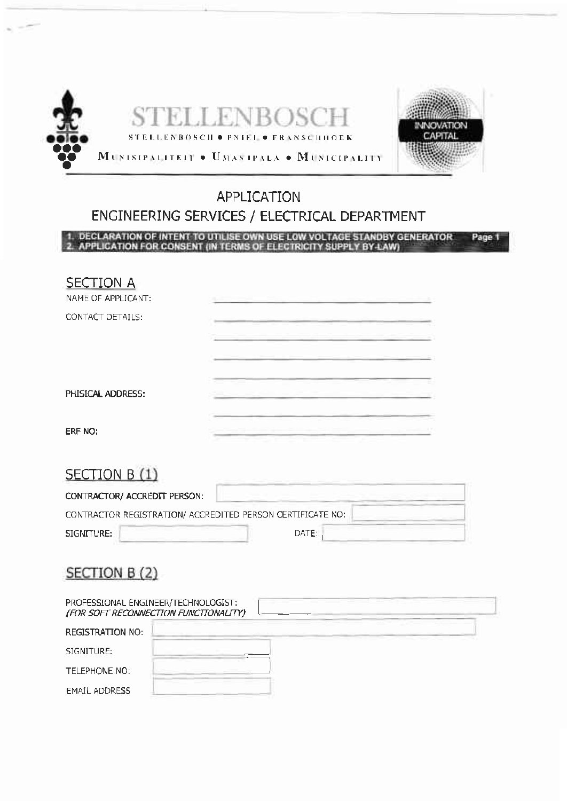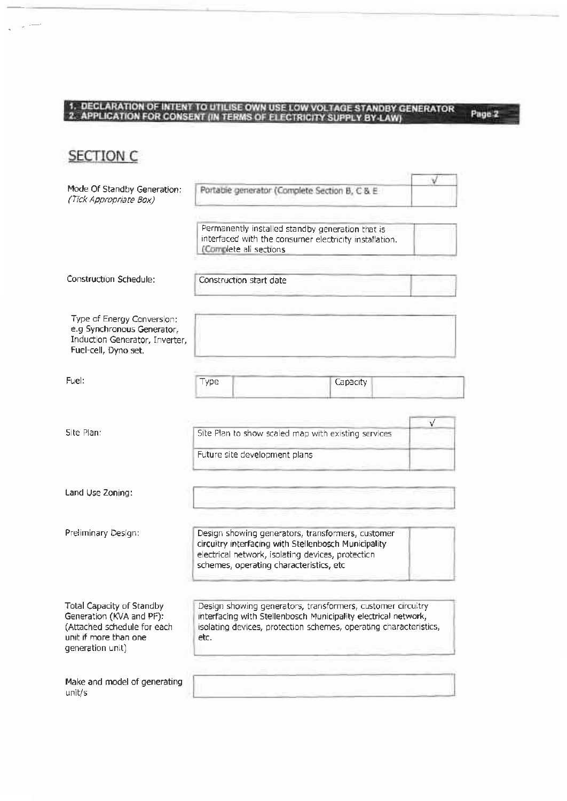# 1. DECLARATION OF INTENT TO UTILISE OWN USE LOW VOLTAGE STANDBY GENERATOR 2. APPLICATION FOR CONSENT (IN TERMS OF ELECTRICITY SUPPLY BY LAW)

Page 2

**SECTION C** 

| Mode Of Standby Generation:<br>(Tick Appropriate Box)                                                                             | Portable generator (Complete Section B, C & E                                                                                                                                                              |          |  |
|-----------------------------------------------------------------------------------------------------------------------------------|------------------------------------------------------------------------------------------------------------------------------------------------------------------------------------------------------------|----------|--|
|                                                                                                                                   | Permanently installed standby generation that is<br>interfaced with the consumer electricity installation.<br>(Complete all sections                                                                       |          |  |
| Construction Schedule:                                                                                                            |                                                                                                                                                                                                            |          |  |
| Type of Energy Conversion:<br>e.g Synchronous Generator,<br>Induction Generator, Inverter,<br>Fuel-cell, Dyno set.                |                                                                                                                                                                                                            |          |  |
| Fuel:                                                                                                                             | Туре                                                                                                                                                                                                       | Capacity |  |
| Site Plan:                                                                                                                        | v<br>Site Plan to show scaled map with existing services<br>Future site development plans                                                                                                                  |          |  |
| Land Use Zoning:                                                                                                                  |                                                                                                                                                                                                            |          |  |
| Preliminary Design:                                                                                                               | Design showing generators, transformers, customer<br>circuitry interfacing with Stellenbosch Municipality<br>electrical network, isolating devices, protection<br>schemes, operating characteristics, etc  |          |  |
| Total Capacity of Standby<br>Generation (KVA and PF):<br>(Attached schedule for each<br>unit if more than one<br>generation unit) | Design showing generators, transformers, customer circuitry<br>interfacing with Stellenbosch Municipality electrical network,<br>isolating devices, protection schemes, operating characteristics,<br>etc. |          |  |
| Make and model of generating<br>unit/s                                                                                            |                                                                                                                                                                                                            |          |  |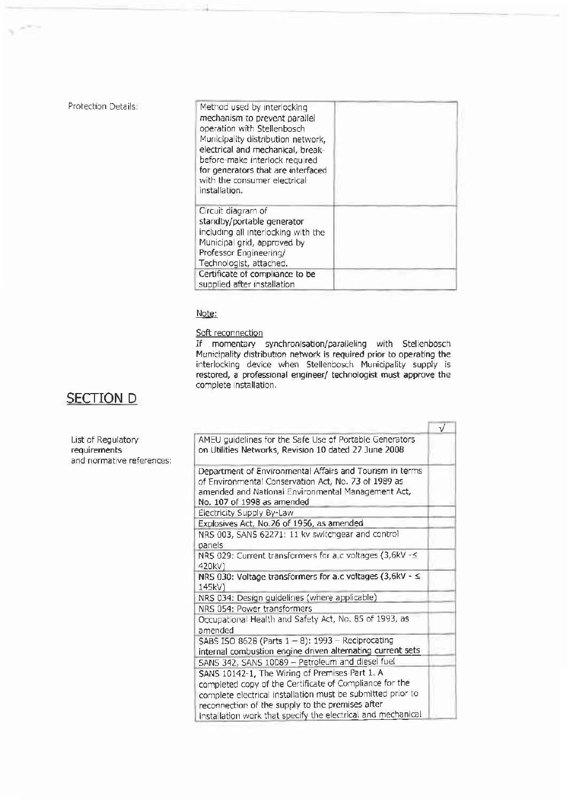| Method used by interlocking<br>mechanism to prevent parallel<br>operation with Stellenbosch<br>Municipality distribution network,<br>electrical and mechanical, break-<br>before-make interlock required<br>for generators that are interfaced<br>with the consumer electrical<br>installation. |  |
|-------------------------------------------------------------------------------------------------------------------------------------------------------------------------------------------------------------------------------------------------------------------------------------------------|--|
| Circuit diagram of<br>standby/portable generator<br>including all interlocking with the<br>Municipal grid, approved by<br>Professor Engineering/<br>Technologist, attached.                                                                                                                     |  |
| Certificate of compliance to be<br>supplied after installation                                                                                                                                                                                                                                  |  |

Note:

### Soft reconnection

If momentary synchronisation/paralleling with Stellenbosch Municipality distribution network is required prior to operating the interlocking device when Stellenbosch Municipality supply is restored, a professional engineer/ technologist must approve the complete installation.

### **SECTION D**

|                                                                 |                                                                                                                                                                                                      | $\overline{\sqrt{ }}$ |
|-----------------------------------------------------------------|------------------------------------------------------------------------------------------------------------------------------------------------------------------------------------------------------|-----------------------|
| List of Regulatory<br>requirements<br>and normative references: | AMEU guidelines for the Safe Use of Portable Generators<br>on Utilities Networks, Revision 10 dated 27 June 2008                                                                                     |                       |
|                                                                 | Department of Environmental Affairs and Tourism in terms<br>of Environmental Conservation Act, No. 73 of 1989 as<br>amended and National Environmental Management Act,<br>No. 107 of 1998 as amended |                       |
|                                                                 | Electricity Supply By-Law                                                                                                                                                                            |                       |
|                                                                 | Explosives Act, No.26 of 1956, as amended                                                                                                                                                            |                       |
|                                                                 | NRS 003, SANS 62271: 11 kv switchgear and control<br>panels                                                                                                                                          |                       |
|                                                                 | NRS 029: Current transformers for a c voltages (3,6kV - <<br>420kV)                                                                                                                                  |                       |
|                                                                 | NRS 030: Voltage transformers for a.c voltages (3,6kV - ≤<br>145kV)                                                                                                                                  |                       |
|                                                                 | NRS 034: Design guidelines (where applicable)                                                                                                                                                        |                       |
|                                                                 | NRS 054: Power transformers                                                                                                                                                                          |                       |
|                                                                 | Occupational Health and Safety Act, No. 85 of 1993, as<br>amended                                                                                                                                    |                       |
|                                                                 | SABS ISO 8628 (Parts $1 - 8$ ): 1993 - Reciprocating<br>internal combustion engine driven alternating current sets                                                                                   |                       |
|                                                                 | SANS 342, SANS 10089 - Petroleum and diesel fuel                                                                                                                                                     |                       |
|                                                                 | SANS 10142-1, The Wiring of Premises Part 1. A                                                                                                                                                       |                       |
|                                                                 | completed copy of the Certificate of Compliance for the                                                                                                                                              |                       |
|                                                                 | complete electrical installation must be submitted prior to                                                                                                                                          |                       |
|                                                                 | reconnection of the supply to the premises after                                                                                                                                                     |                       |
|                                                                 | installation work that specify the electrical and mechanical                                                                                                                                         |                       |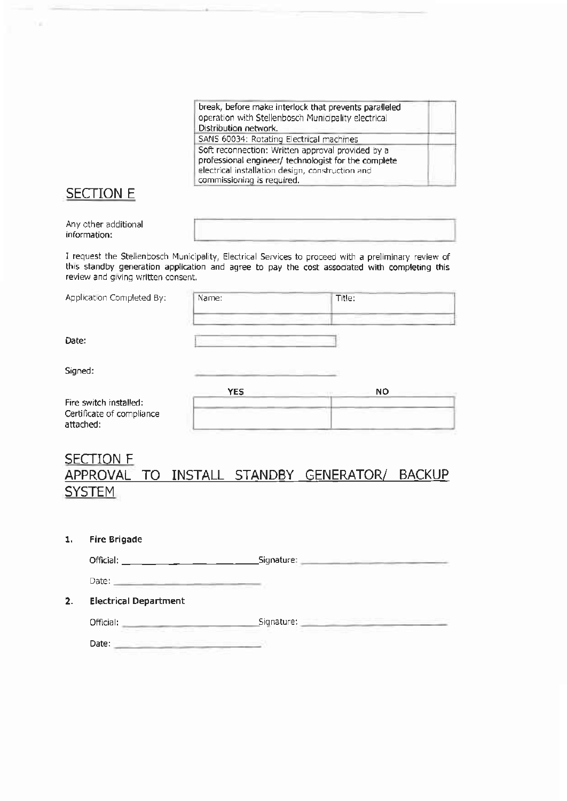| break, before make interlock that prevents paralleled |  |
|-------------------------------------------------------|--|
| operation with Stellenbosch Municipality electrical   |  |
| Distribution network.                                 |  |
| SANS 60034: Rotating Electrical machines              |  |
| Soft reconnection: Written approval provided by a     |  |
| professional engineer/ technologist for the complete  |  |
| electrical installation design, construction and      |  |
| commissioning is required.                            |  |

### **SECTION E**

| Any other additional<br>information: |  |
|--------------------------------------|--|
|                                      |  |

I request the Stellenbosch Municipality, Electrical Services to proceed with a preliminary review of this standby generation application and agree to pay the cost associated with completing this review and giving written consent.

|  | Application Completed By: |  |
|--|---------------------------|--|
|--|---------------------------|--|

| Name:                  | Title:<br>____ |
|------------------------|----------------|
|                        |                |
| <b>Service Control</b> |                |

Date:

Signed:

|                                                                  | YES | NO |
|------------------------------------------------------------------|-----|----|
| Fire switch installed:<br>Certificate of compliance<br>attached: |     |    |

### **SECTION F** APPROVAL TO INSTALL STANDBY GENERATOR/ BACKUP **SYSTEM**

#### $\mathbf{1}$ **Fire Brigade**

 $2.$ 

| Official:                    | Signature: |  |
|------------------------------|------------|--|
| Date:                        |            |  |
| <b>Electrical Department</b> |            |  |
| Official:                    | Signature: |  |
| Date:                        |            |  |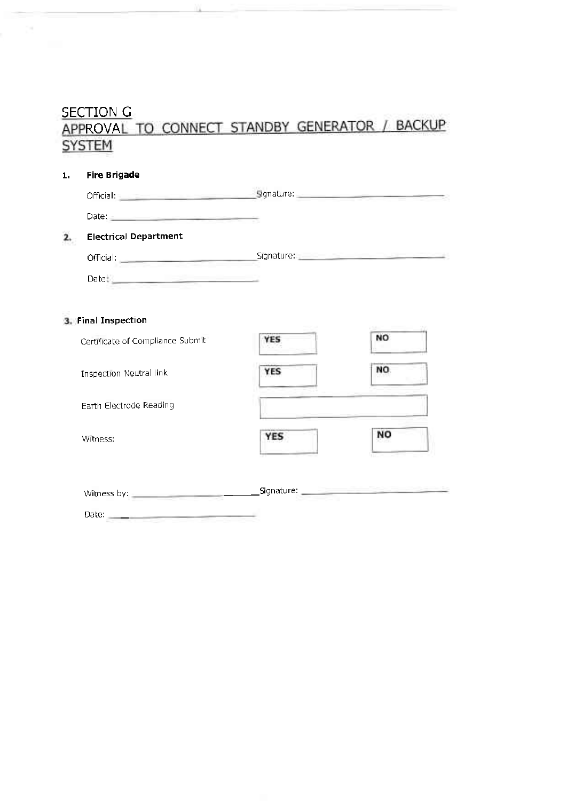## **SECTION G** APPROVAL TO CONNECT STANDBY GENERATOR / BACKUP **SYSTEM**

| 1. | <b>Fire Brigade</b>                                                                                                                                                                                                            |            |           |
|----|--------------------------------------------------------------------------------------------------------------------------------------------------------------------------------------------------------------------------------|------------|-----------|
|    | Official: etial: etial: etial: etial: etial: etial: etial: etial: etial: etial: etial: etial: etial: etial: etial: etial: etial: etial: etial: etial: etial: etial: etial: etial: etial: etial: etial: etial: etial: etial: et |            |           |
|    | Date: Note: Note: Note: Note: Note: Note: Note: Note: Note: Note: Note: Note: Note: Note: Note: Note: Note: No                                                                                                                 |            |           |
|    | <b>Electrical Department</b>                                                                                                                                                                                                   |            |           |
|    | Official: Signature: Signature: Signature: Signature: Signature: Signature: Signature: Signature: Signature: Signature: Signature: Signature: Signature: Signature: Signature: Signature: Signature: Signature: Signature: Sig |            |           |
|    |                                                                                                                                                                                                                                |            |           |
|    | 3. Final Inspection                                                                                                                                                                                                            |            |           |
|    | Certificate of Compliance Submit                                                                                                                                                                                               | <b>YES</b> | <b>NO</b> |
|    | Inspection Neutral link                                                                                                                                                                                                        | <b>YES</b> | NO.       |
|    | Earth Electrode Reading                                                                                                                                                                                                        |            |           |
|    | Witness:                                                                                                                                                                                                                       | <b>YES</b> | NO        |
|    |                                                                                                                                                                                                                                |            |           |
|    | Date: $\qquad \qquad$                                                                                                                                                                                                          |            |           |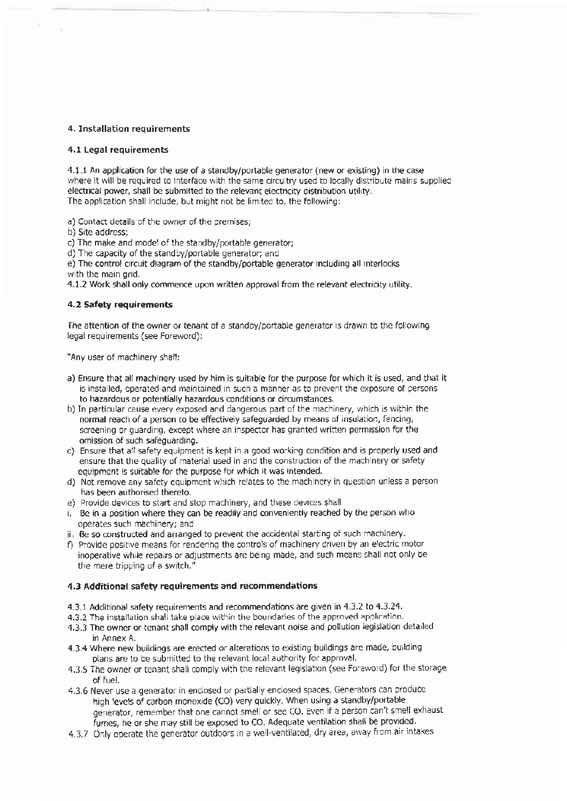#### 4. Installation requirements

#### 4.1 Legal requirements

4.1 I An applcation for the use of a standby/portable generator (new or existing) in ihe case electrical power, shall be submitted to the relevant electricity distribution utility where it will be required to interface with the same circuitry used to locally distribute mains supplied The application shall include, but might not be limited to, the following:

a) Contact details of the owner of the premises;

b) Site address;

c) The make and model of the standby/portable generator;

d) The capacity of the standby/portable generator; and

e) The control circuit diagram of the standby/portable generator including all interlocks with the main grid.

4.1.2 Work shall only commence upon wriften approval from the relevant electricity utility.

#### 4.2 Safety requirements

The attention of the owner or tenant of a standby/portable generator is drawn to the following legal requirements (see Foreword):

'Any user of machinery shall:

- a) Ensure that all machinery used by him is suitable for the purpose for which it is used, and that it is installed, operated and maintained in such a manner as to prevent the exposure of persons to hazardous or potentially hazardous conditions or circumstances.
- b) In particular cause every exposed and dangerous part of the machinery, which is within the normal reach of a person to be effectively safeguarded by means of insulation, fencing, screening or guarding, except where an inspector has granted written permission for the omission of such safeguarding.
- c) Ensure that all safety equipment is kept in a good working condition and is properly used and ensure that the quality of material used in and the construction of the machinery or safety equipment is suitable for the purpose for which it was intended.
- d) Not remove any safety equipment which relates to the machinery in question unless a person has been authorised thereto.
- e) Provide devices to start and stop machinery, and these devices shall
- Be in a position where they can be readily and conveniently reached by the person who operales such machinery; and
- ii Be so constructed and arranged to prevent the accidental starting of such machinery.
- f) Provide positive means for rendering the controls of machinery driven by an electric motor inoperative while repairs or adjustments are being made, and such means shall not only be the mere tripping of a switch."

#### 4.3 Additional safety requirements and recommendations

- 4.3.1 Additional safety requirements and recommendations are given in 4.3.2 to 4.3.24.
- 4,3.2 The installation shall take place within the boundaries of the approved application.
- 4.3.3 The owner or tenant shall comply with the relevant noise and pollution legislation detailed in Annex A.
- 4.3.4 Where new buildings are erected or alterations to existing buildings are made, building plans are to be submitted to the relevant local authority for approval.
- 4.3.5 The owner or tenant shall comply with the relevant legislation (see Foreword) for the storage of fuel.
- 4.3.6 Never use a generator in enclosed or partially enclosed spaces. Generators can produce high levels of carbon monoxide (CO) very quickly. When using a standby/portable generator, remember that one cannot smell or see CO. Even if a person can't smell exhaust fumes, he or she may still be exposed to CO. Adequate ventilation shall be provided.
- 4,3.7 Only operate the generator outdoors in a well-ventilated, dry area, away from air intakes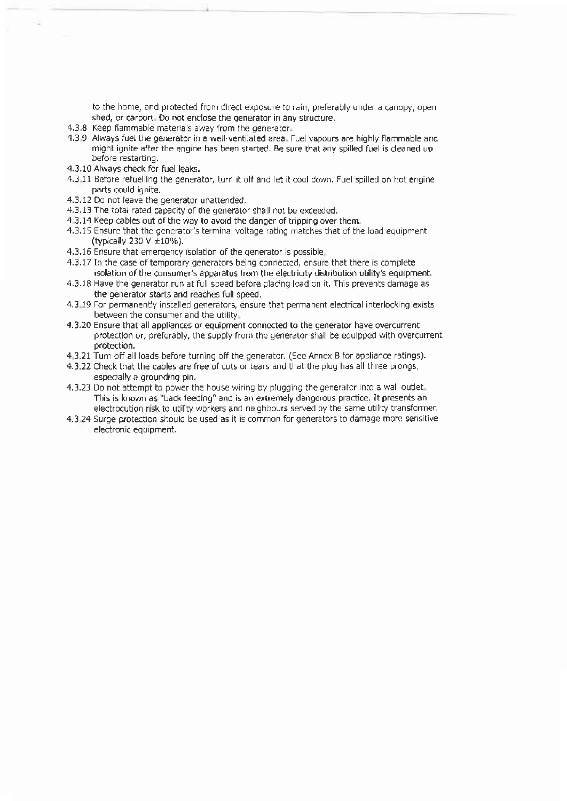to the home, and protected from direct exposure to rain, preferably under a canopy, open shed, or carport. Do not enclose the generator in any structure.

- 4.3.8 Keep flammable materials away from the generator.
- 4.3.9 Always fuel the generator in a well-ventilated area. Fuel vapours are highly flammable and might ignite after the engine has been started. Be sure that any spilled fuel is cleaned up before restarting.
- 4.3.10 Always check for fuel leaks.
- 4.3.11 Before refuelling the generator, turn it off and let it cool down. Fuel spilled on hot engine parts could ignite.
- 4.3.12 Do not leave the generator unattended.
- 4.3.13 The total rated capacity of the generator shall not be exceeded.
- 4.3.14 Keep cables out of the way to avoid the danger of tripping over them.
- 4.3.15 Ensure that the generator's terminal voltage rating matches that of the load equipment (typically 230 V ±10%).
- 4.3.16 Ensure that emergency isolation of the generator is possible.
- 4.3.17 In the case of temporary generators being connected, ensure that there is complete isolation of the consumer's apparatus from the electricity distribution utility's equipment.
- 4.3.18 Have the generator run at full speed before placing load on it. This prevents damage as the generator starts and reaches full speed.
- 4.3.19 For permanently installed generators, ensure that permanent electrical interlocking exists between the consumer and the utility.
- 4.3.20 Ensure that all appliances or equipment connected to the generator have overcurrent protection or, preferably, the supply from the generator shall be equipped with overcurrent protection.
- 4.3.21 Turn off all loads before turning off the generator. (See Annex B for appliance ratings).
- 4.3.22 Check that the cables are free of cuts or tears and that the plug has all three prongs, especially a grounding pin.
- 4.3.23 Do not attempt to power the house wiring by plugging the generator into a wall outlet This is known as "back feeding" and is an extremely dangerous practice. It presents an electrocution risk to utility workers and neighbours served by the same utility transformer.
- 4.3.24 Surge protection should be used as it is common for generators to damage more sensitive electronic equipment.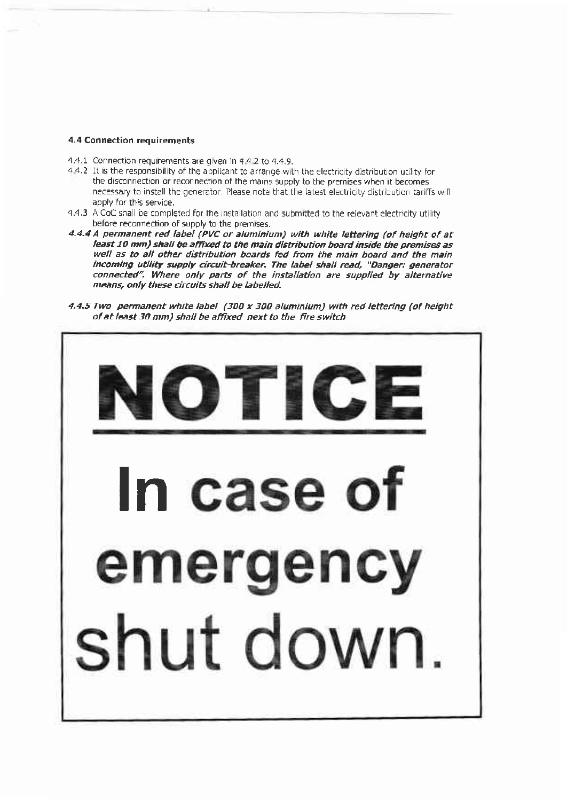#### **4.4 Connection requirements**

- 4.4.1 Connection requirements are given in 4.4.2 to 4.4.9.
- 4.4.2 It is the responsibility of the applicant to arrange with the electricity distribution utility for the disconnection or reconnection of the mains supply to the premises when it becomes necessary to install the generator. Please note that the latest electricity distribution tariffs will apply for this service.
- 4.4.3 A CoC shall be completed for the installation and submitted to the relevant electricity utility before reconnection of supply to the premises.
- 4.4.4 A permanent red label (PVC or aluminium) with white lettering (of height of at least 10 mm) shall be affixed to the main distribution board inside the premises as well as to all other distribution boards fed from the main board and the main incoming utility supply circuit-breaker. The label shall read, "Danger; generator connected". Where only parts of the installation are supplied by alternative means, only these circuits shall be labelled.
- 4.4.5 Two permanent white label (300 x 300 aluminium) with red lettering (of height of at least 30 mm) shall be affixed next to the fire switch

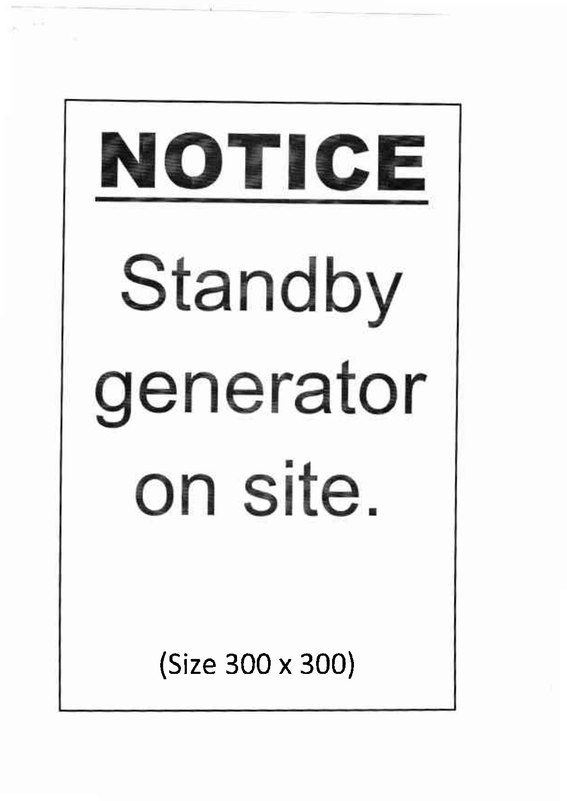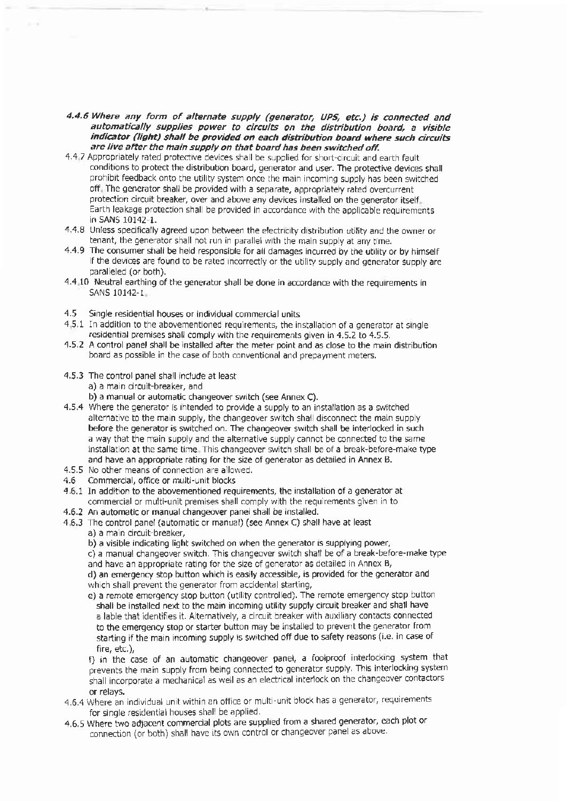- 4.4.6 Where any form of alternate supply (generator, UPS, etc.) is connected and automatically supplies power to circuits on the distribution board, a visible indicator (light) shall be provided on each distribution board where such circuits are live after the main supply on that board has been switched off.
- 4.4-7 Appropriately rated protective devices shall be supplied for short-circuit and earth fault conditions to protect the distribution board, generator and user. The protective devices shall prohibit feedback onto the utility system once the main incoming supply has been switched off. The generator shall be provided with a separate, appropriately rated overcurrent protection circuit breaker, over and above any devices installed on the generator itself. Earth leakage protection shall be provided in accordance with the applicable requirements in SANS 10142-1.
- 4.4.8 Unless specifically agreed upon between the electricity distribution utility and the owner or tenant, the generator shall not run in parallel with the main supply at any time.
- 4.4.9 The consumer shall be held responsible for all damages incurred by the utility or by himself if the devices are found to be rated incorrectly or the utility supply and generator supply are paralleled (or both).
- 4.4.10 Neutral earthing of the generator shall be done in accordance with the requirements in SANS 10142-1
- 4.5 Single residential houses or individual commercial units
- 4.5.1 In addition to the abovementioned requirements, the installation of a generator at single residential premises shall comply with the requirements given in 4.5.2 to 4.5.5.
- 4.5.2 A control panel shall be installed after the meter point and as close to the main distribution board as possible in the case of both conventional and prepayment meters.
- 4.5.3 The control panel shall include at least
	- a) a main circuit-breaker, and
	- b) a manual or automatic changeover switch (see Annex C).
- 4.5.4 Where the generator is intended to provide a supply to an installation as a switched alternative to the main supply, the changeover switch shall disconnect the main supply before the generator is switched on. The changeover switch shall be interlocked in such a way that the main supply and the alternative supply cannot be connected to the same installation at the same time. This changeover switch shall be of a break-before-make type and have an appropriate rating for the size of generator as detailed in Annex B.
- 4.5.5 No other means of connection are allowed.
- Commercial, office or multi-unit blocks  $4.6$
- 4.6.1 In addition to the abovementioned requirements, the installation of a generator at commercial or multi-unit premises shall comply with the requirements given in to
- 4.6.2 An automatic or manual changeover panel shall be installed.
- 4.6.3 The control panel (automatic or manual) (see Annex C) shall have at least
	- a) a main circuit-breaker,
	- b) a visible indicating light switched on when the generator is supplying power,

c) a manual changeover switch. This changeover switch shall be of a break-before-make type and have an appropriate rating for the size of generator as detailed in Annex B,

d) an emergency stop button which is easily accessible, is provided for the generator and which shall prevent the generator from accidental starting,

e) a remote emergency stop button (utility controlled). The remote emergency stop button shall be installed next to the main incoming utility supply circuit breaker and shall have a lable that identifies it. Alternatively, a circuit breaker with auxiliary contacts connected to the emergency stop or starter button may be installed to prevent the generator from starting if the main incoming supply is switched off due to safety reasons (i.e. in case of fire, etc.),

f) in the case of an automatic changeover panel, a foolproof interlocking system that prevents the main supply from being connected to generator supply. This interlocking system shall incorporate a mechanical as well as an electrical interlock on the changeover contactors or relays.

- 4.6.4 Where an individual unit within an office or multi-unit block has a generator, requirements for single residential houses shall be applied.
- 4.6.5 Where two adjacent commercial plots are supplied from a shared generator, each plot or connection (or both) shall have its own control or changeover panel as above.